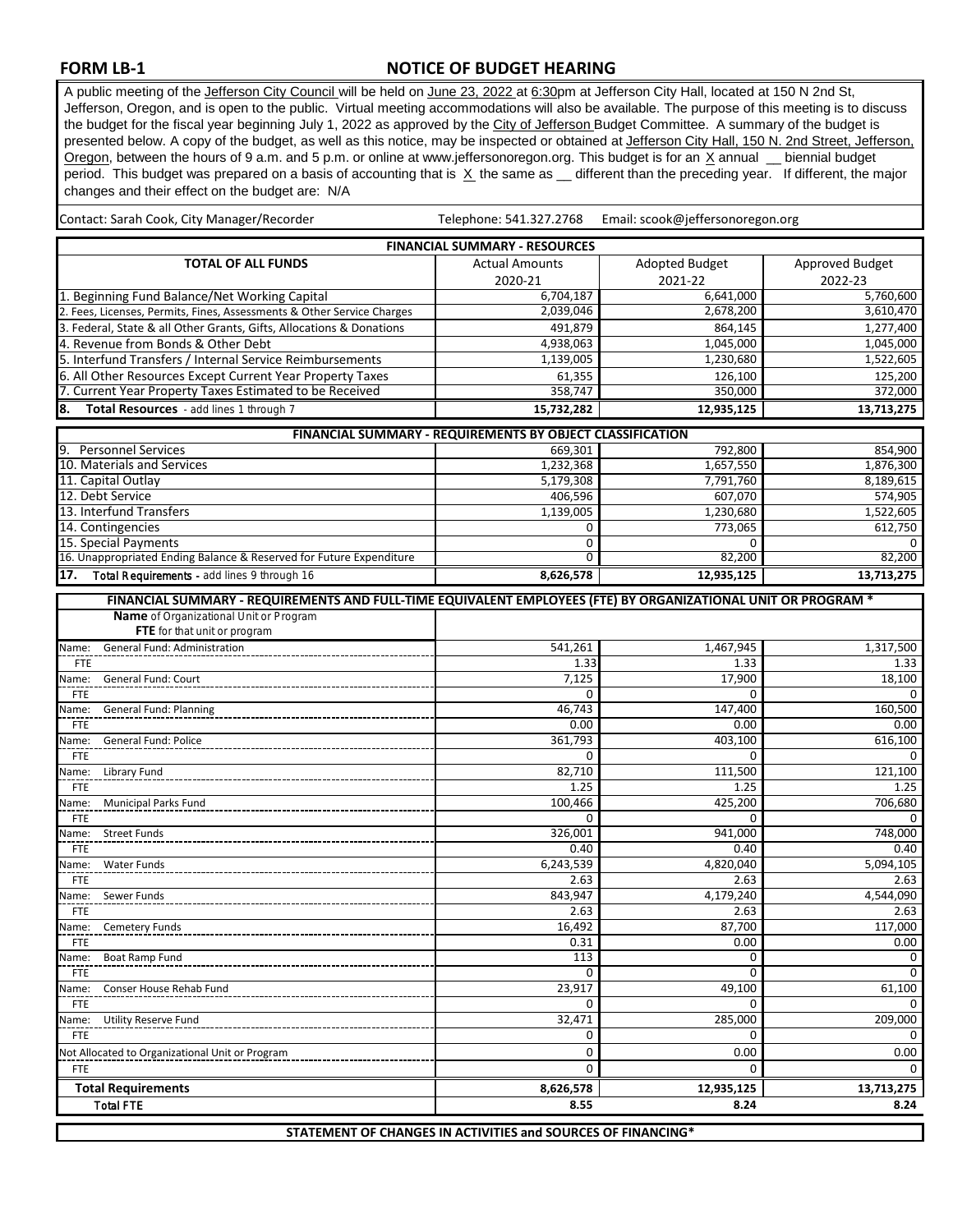## **FORM LB-1**

 Total FTE  **Total Requirements**

## **NOTICE OF BUDGET HEARING**

A public meeting of the Jefferson City Council will be held on June 23, 2022 at 6:30pm at Jefferson City Hall, located at 150 N 2nd St, Jefferson, Oregon, and is open to the public. Virtual meeting accommodations will also be available. The purpose of this meeting is to discuss the budget for the fiscal year beginning July 1, 2022 as approved by the City of Jefferson Budget Committee. A summary of the budget is presented below. A copy of the budget, as well as this notice, may be inspected or obtained at Jefferson City Hall, 150 N. 2nd Street, Jefferson, Oregon, between the hours of 9 a.m. and 5 p.m. or online at www.jeffersonoregon.org. This budget is for an X annual \_ biennial budget period. This budget was prepared on a basis of accounting that is  $\overline{X}$  the same as  $\overline{X}$  different than the preceding year. If different, the major changes and their effect on the budget are: N/A

| changes and their enect on the budget are. TwA                                                                |                                                           |                                  |                 |
|---------------------------------------------------------------------------------------------------------------|-----------------------------------------------------------|----------------------------------|-----------------|
| Contact: Sarah Cook, City Manager/Recorder                                                                    | Telephone: 541.327.2768                                   | Email: scook@jeffersonoregon.org |                 |
|                                                                                                               | <b>FINANCIAL SUMMARY - RESOURCES</b>                      |                                  |                 |
| <b>TOTAL OF ALL FUNDS</b>                                                                                     | <b>Actual Amounts</b>                                     | <b>Adopted Budget</b>            | Approved Budget |
|                                                                                                               | 2020-21                                                   | 2021-22                          | 2022-23         |
| 1. Beginning Fund Balance/Net Working Capital                                                                 | 6,704,187                                                 | 6,641,000                        | 5,760,600       |
| 2. Fees, Licenses, Permits, Fines, Assessments & Other Service Charges                                        | 2,039,046                                                 | 2,678,200                        | 3,610,470       |
| 3. Federal, State & all Other Grants, Gifts, Allocations & Donations                                          | 491,879                                                   | 864,145                          | 1,277,400       |
| 4. Revenue from Bonds & Other Debt                                                                            | 4,938,063                                                 | 1,045,000                        | 1,045,000       |
| 5. Interfund Transfers / Internal Service Reimbursements                                                      | 1,139,005                                                 | 1,230,680                        | 1,522,605       |
| 6. All Other Resources Except Current Year Property Taxes                                                     | 61,355                                                    | 126,100                          | 125,200         |
| 7. Current Year Property Taxes Estimated to be Received                                                       | 358,747                                                   | 350,000                          | 372,000         |
| Total Resources - add lines 1 through 7<br>8.                                                                 | 15,732,282                                                | 12,935,125                       | 13,713,275      |
|                                                                                                               | FINANCIAL SUMMARY - REQUIREMENTS BY OBJECT CLASSIFICATION |                                  |                 |
| 9. Personnel Services                                                                                         | 669,301                                                   | 792,800                          | 854,900         |
| 10. Materials and Services                                                                                    | 1,232,368                                                 | 1,657,550                        | 1,876,300       |
| 11. Capital Outlay                                                                                            | 5,179,308                                                 | 7,791,760                        | 8,189,615       |
| 12. Debt Service                                                                                              | 406.596                                                   | 607,070                          | 574,905         |
| 13. Interfund Transfers                                                                                       | 1,139,005                                                 | 1,230,680                        | 1,522,605       |
| 14. Contingencies                                                                                             | 0                                                         | 773,065                          | 612,750         |
| 15. Special Payments                                                                                          | 0                                                         | 0                                | $\Omega$        |
| 16. Unappropriated Ending Balance & Reserved for Future Expenditure                                           | 0                                                         | 82,200                           | 82,200          |
| 17.<br>Total Requirements - add lines 9 through 16                                                            | 8,626,578                                                 | 12,935,125                       | 13,713,275      |
| FINANCIAL SUMMARY - REQUIREMENTS AND FULL-TIME EQUIVALENT EMPLOYEES (FTE) BY ORGANIZATIONAL UNIT OR PROGRAM * |                                                           |                                  |                 |
| Name of Organizational Unit or Program                                                                        |                                                           |                                  |                 |
| FTE for that unit or program                                                                                  |                                                           |                                  |                 |
| General Fund: Administration<br>Name:                                                                         | 541,261                                                   | 1,467,945                        | 1,317,500       |
| <b>FTE</b>                                                                                                    | 1.33                                                      | 1.33                             | 1.33            |
| Name:<br>General Fund: Court                                                                                  | 7,125                                                     | 17,900                           | 18,100          |
| <b>FTE</b>                                                                                                    | $\Omega$                                                  | $\Omega$                         | 0               |
| Name:<br><b>General Fund: Planning</b>                                                                        | 46,743                                                    | 147,400                          | 160,500         |
| FTE                                                                                                           | 0.00                                                      | 0.00                             | 0.00            |
| General Fund: Police<br>Name:                                                                                 | 361,793                                                   | 403,100                          | 616,100         |
| FTE                                                                                                           | 0                                                         | 0                                | $\Omega$        |
| Name:<br>Library Fund                                                                                         | 82,710                                                    | 111,500                          | 121,100         |
| FTE                                                                                                           | 1.25                                                      | 1.25                             | 1.25            |
| Name:<br><b>Municipal Parks Fund</b>                                                                          | 100,466                                                   | 425,200                          | 706,680         |
| <b>FTE</b>                                                                                                    | $\Omega$                                                  | $\Omega$                         | $\Omega$        |
| <b>Street Funds</b><br>Name:                                                                                  | 326,001                                                   | 941,000                          | 748,000         |
| FTE                                                                                                           | 0.40                                                      | 0.40                             | 0.40            |
| Name:<br><b>Water Funds</b>                                                                                   | 6,243,539                                                 | 4,820,040                        | 5,094,105       |
| FTE                                                                                                           | 2.63                                                      | 2.63                             | 2.63            |
| Name:<br>Sewer Funds                                                                                          | 843,947                                                   | 4,179,240                        | 4,544,090       |
| <b>FTE</b>                                                                                                    | 2.63                                                      | 2.63                             | 2.63            |
| Name:<br><b>Cemetery Funds</b>                                                                                | 16,492                                                    | 87,700                           | 117,000         |
| <b>FTE</b>                                                                                                    | 0.31                                                      | 0.00                             | 0.00            |
| Name:<br>Boat Ramp Fund                                                                                       | 113                                                       | 0                                | 0               |
| <b>FTE</b>                                                                                                    | 0                                                         | 0                                | 0               |
| Name:<br>Conser House Rehab Fund                                                                              | 23,917                                                    | 49,100                           | 61,100          |
| FTE                                                                                                           | 0                                                         | 0                                | 0               |
| <b>Utility Reserve Fund</b><br>Name:                                                                          | 32,471                                                    | 285,000<br>0                     | 209,000<br>0    |
| FTE                                                                                                           | 0                                                         |                                  |                 |
| Not Allocated to Organizational Unit or Program                                                               | 0                                                         | 0.00                             | 0.00            |
| <b>FTE</b>                                                                                                    | 0                                                         | 0                                | $\Omega$        |

**STATEMENT OF CHANGES IN ACTIVITIES and SOURCES OF FINANCING\***

**8,626,578 12,935,125 13,713,275 8.55 8.24 8.24**